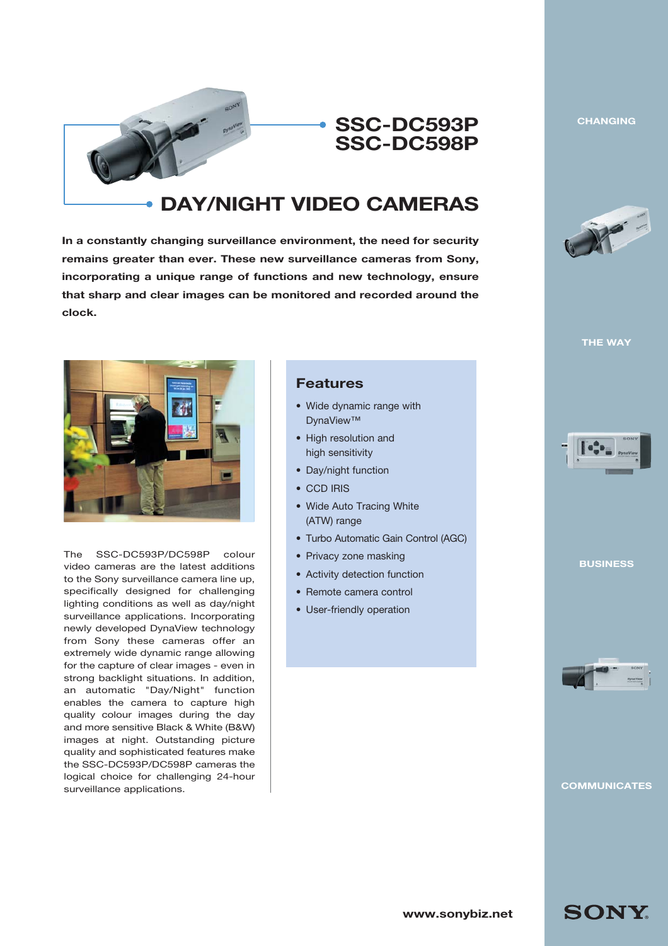

# **DAY/NIGHT VIDEO CAMERAS**

**In a constantly changing surveillance environment, the need for security remains greater than ever. These new surveillance cameras from Sony, incorporating a unique range of functions and new technology, ensure that sharp and clear images can be monitored and recorded around the clock.**



The SSC-DC593P/DC598P colour video cameras are the latest additions to the Sony surveillance camera line up, specifically designed for challenging lighting conditions as well as day/night surveillance applications. Incorporating newly developed DynaView technology from Sony these cameras offer an extremely wide dynamic range allowing for the capture of clear images - even in strong backlight situations. In addition, an automatic "Day/Night" function enables the camera to capture high quality colour images during the day and more sensitive Black & White (B&W) images at night. Outstanding picture quality and sophisticated features make the SSC-DC593P/DC598P cameras the logical choice for challenging 24-hour surveillance applications.

## **Features**

- Wide dynamic range with DynaView™
- High resolution and high sensitivity
- Day/night function
- CCD IRIS
- Wide Auto Tracing White (ATW) range
- Turbo Automatic Gain Control (AGC)
- Privacy zone masking
- Activity detection function
- Remote camera control
- User-friendly operation

**CHANGING**



**THE WAY**



**BUSINESS**



**COMMUNICATES**

**SONY**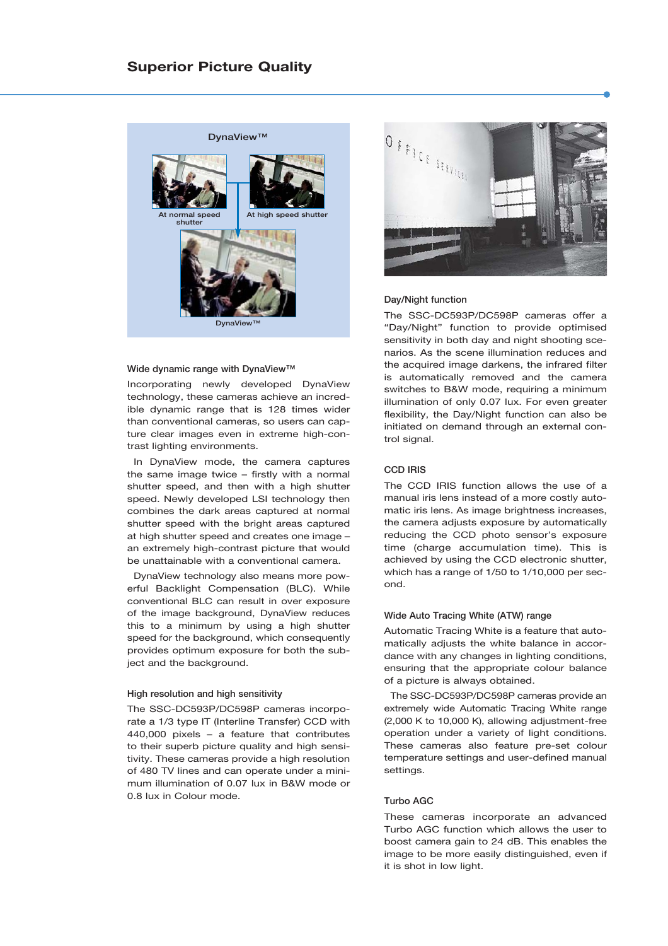

#### Wide dynamic range with DynaView™

Incorporating newly developed DynaView technology, these cameras achieve an incredible dynamic range that is 128 times wider than conventional cameras, so users can capture clear images even in extreme high-contrast lighting environments.

In DynaView mode, the camera captures the same image twice – firstly with a normal shutter speed, and then with a high shutter speed. Newly developed LSI technology then combines the dark areas captured at normal shutter speed with the bright areas captured at high shutter speed and creates one image – an extremely high-contrast picture that would be unattainable with a conventional camera.

DynaView technology also means more powerful Backlight Compensation (BLC). While conventional BLC can result in over exposure of the image background, DynaView reduces this to a minimum by using a high shutter speed for the background, which consequently provides optimum exposure for both the subject and the background.

### High resolution and high sensitivity

The SSC-DC593P/DC598P cameras incorporate a 1/3 type IT (Interline Transfer) CCD with 440,000 pixels – a feature that contributes to their superb picture quality and high sensitivity. These cameras provide a high resolution of 480 TV lines and can operate under a minimum illumination of 0.07 lux in B&W mode or 0.8 lux in Colour mode.



#### Day/Night function

The SSC-DC593P/DC598P cameras offer a "Day/Night" function to provide optimised sensitivity in both day and night shooting scenarios. As the scene illumination reduces and the acquired image darkens, the infrared filter is automatically removed and the camera switches to B&W mode, requiring a minimum illumination of only 0.07 lux. For even greater flexibility, the Day/Night function can also be initiated on demand through an external control signal.

#### CCD IRIS

The CCD IRIS function allows the use of a manual iris lens instead of a more costly automatic iris lens. As image brightness increases, the camera adjusts exposure by automatically reducing the CCD photo sensor's exposure time (charge accumulation time). This is achieved by using the CCD electronic shutter, which has a range of 1/50 to 1/10,000 per second.

#### Wide Auto Tracing White (ATW) range

Automatic Tracing White is a feature that automatically adjusts the white balance in accordance with any changes in lighting conditions, ensuring that the appropriate colour balance of a picture is always obtained.

The SSC-DC593P/DC598P cameras provide an extremely wide Automatic Tracing White range (2,000 K to 10,000 K), allowing adjustment-free operation under a variety of light conditions. These cameras also feature pre-set colour temperature settings and user-defined manual settings.

#### Turbo AGC

These cameras incorporate an advanced Turbo AGC function which allows the user to boost camera gain to 24 dB. This enables the image to be more easily distinguished, even if it is shot in low light.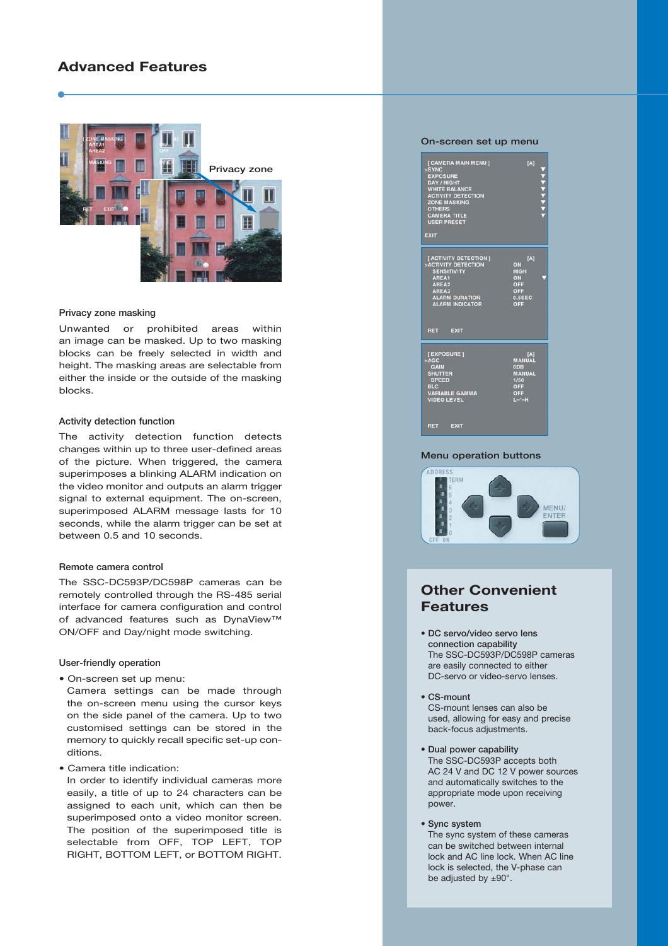## **Advanced Features**



#### Privacy zone masking

Unwanted or prohibited areas within an image can be masked. Up to two masking blocks can be freely selected in width and height. The masking areas are selectable from either the inside or the outside of the masking blocks.

#### Activity detection function

The activity detection function detects changes within up to three user-defined areas of the picture. When triggered, the camera superimposes a blinking ALARM indication on the video monitor and outputs an alarm trigger signal to external equipment. The on-screen, superimposed ALARM message lasts for 10 seconds, while the alarm trigger can be set at between 0.5 and 10 seconds.

#### Remote camera control

The SSC-DC593P/DC598P cameras can be remotely controlled through the RS-485 serial interface for camera configuration and control of advanced features such as DynaView™ ON/OFF and Day/night mode switching.

#### User-friendly operation

• On-screen set up menu:

Camera settings can be made through the on-screen menu using the cursor keys on the side panel of the camera. Up to two customised settings can be stored in the memory to quickly recall specific set-up conditions.

• Camera title indication:

In order to identify individual cameras more easily, a title of up to 24 characters can be assigned to each unit, which can then be superimposed onto a video monitor screen. The position of the superimposed title is selectable from OFF, TOP LEFT, TOP RIGHT, BOTTOM LEFT, or BOTTOM RIGHT.

#### On-screen set up menu



#### Menu operation buttons



## **Other Convenient Features**

- DC servo/video servo lens connection capability The SSC-DC593P/DC598P cameras are easily connected to either DC-servo or video-servo lenses.
- CS-mount

CS-mount lenses can also be used, allowing for easy and precise back-focus adjustments.

- Dual power capability The SSC-DC593P accepts both AC 24 V and DC 12 V power sources and automatically switches to the appropriate mode upon receiving power.
- Sync system

The sync system of these cameras can be switched between internal lock and AC line lock. When AC line lock is selected, the V-phase can be adjusted by ±90°.